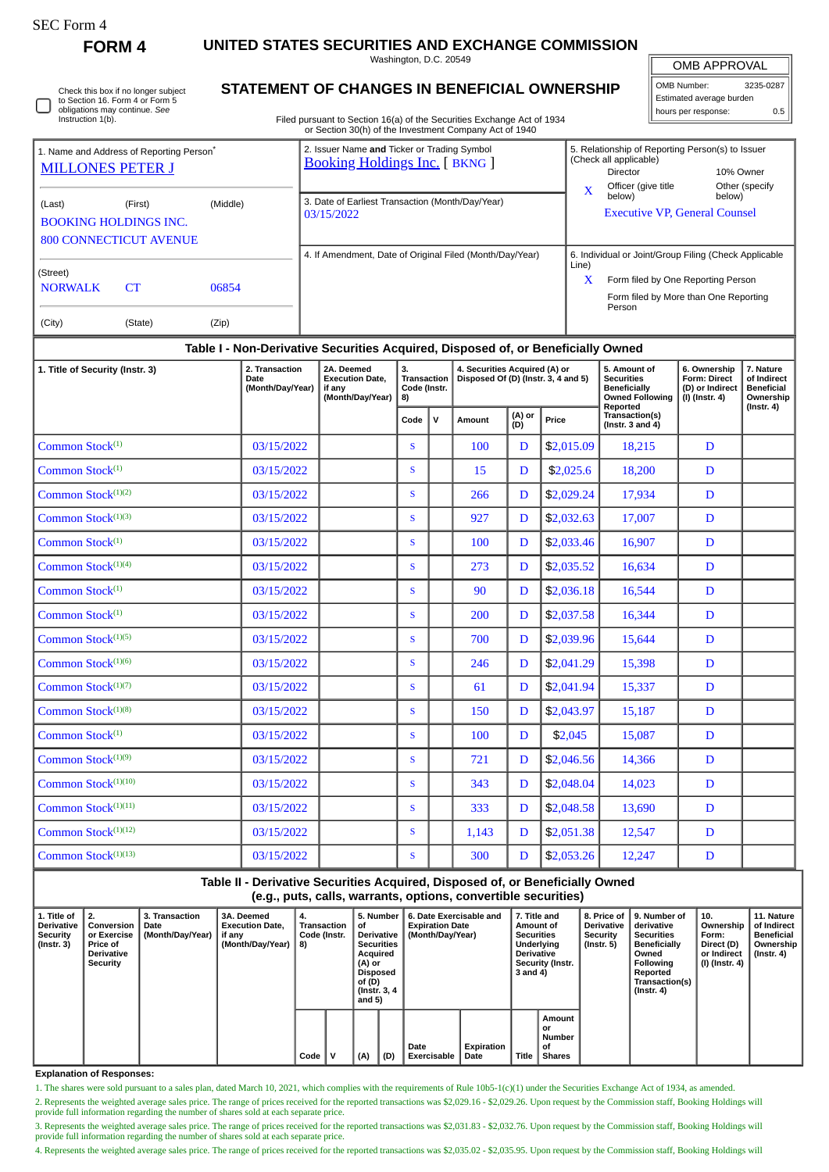# SEC Form 4

**FORM 4 UNITED STATES SECURITIES AND EXCHANGE COMMISSION**

Washington, D.C. 20549

OMB APPROVAL

| OMB Number:              | 3235-0287 |  |  |  |  |  |  |  |
|--------------------------|-----------|--|--|--|--|--|--|--|
| Estimated average burden |           |  |  |  |  |  |  |  |
| hours per response:      | 0.5       |  |  |  |  |  |  |  |

Check this box if no longer subject to Section 16. Form 4 or Form 5 obligations may continue. *See* Instruction 1(b).

## **STATEMENT OF CHANGES IN BENEFICIAL OWNERSHIP**

Filed pursuant to Section 16(a) of the Securities Exchange Act of 1934 or Section 30(h) of the Investment Company Act of 1940

|                                                                                 |                                                                                      |                | 0. Occasion compared investment Company Alor of 1940                                |                         |                                                                                                                                                |                          |
|---------------------------------------------------------------------------------|--------------------------------------------------------------------------------------|----------------|-------------------------------------------------------------------------------------|-------------------------|------------------------------------------------------------------------------------------------------------------------------------------------|--------------------------|
| 1. Name and Address of Reporting Person <sup>®</sup><br><b>MILLONES PETER J</b> |                                                                                      |                | 2. Issuer Name and Ticker or Trading Symbol<br><b>Booking Holdings Inc.</b> [BKNG ] |                         | 5. Relationship of Reporting Person(s) to Issuer<br>(Check all applicable)<br>Director                                                         | 10% Owner                |
| (Last)                                                                          | (Middle)<br>(First)<br><b>BOOKING HOLDINGS INC.</b><br><b>800 CONNECTICUT AVENUE</b> |                | 3. Date of Earliest Transaction (Month/Day/Year)<br>03/15/2022                      | $\overline{\mathbf{X}}$ | Officer (give title<br>below)<br><b>Executive VP, General Counsel</b>                                                                          | Other (specify<br>below) |
| (Street)<br><b>NORWALK</b><br>(City)                                            | CT.<br>(State)                                                                       | 06854<br>(Zip) | 4. If Amendment, Date of Original Filed (Month/Day/Year)                            | Line)<br>X              | 6. Individual or Joint/Group Filing (Check Applicable<br>Form filed by One Reporting Person<br>Form filed by More than One Reporting<br>Person |                          |

### **Table I - Non-Derivative Securities Acquired, Disposed of, or Beneficially Owned**

| 1. Title of Security (Instr. 3) | 2. Transaction<br>Date<br>(Month/Day/Year) | 2A. Deemed<br><b>Execution Date.</b><br>if any<br>(Month/Day/Year) | 3.<br><b>Transaction</b><br>Code (Instr.<br>8) |              | 4. Securities Acquired (A) or<br>Disposed Of (D) (Instr. 3, 4 and 5) |   |            | 5. Amount of<br><b>Securities</b><br><b>Beneficially</b><br><b>Owned Following</b> | 6. Ownership<br>Form: Direct<br>(D) or Indirect<br>$(I)$ (Instr. 4) | 7. Nature<br>of Indirect<br><b>Beneficial</b><br>Ownership |
|---------------------------------|--------------------------------------------|--------------------------------------------------------------------|------------------------------------------------|--------------|----------------------------------------------------------------------|---|------------|------------------------------------------------------------------------------------|---------------------------------------------------------------------|------------------------------------------------------------|
|                                 |                                            |                                                                    | Code                                           | $\mathbf{V}$ | (A) or<br>(D)<br>Amount                                              |   | Price      | Reported<br>Transaction(s)<br>(Instr. $3$ and $4$ )                                |                                                                     | $($ Instr. 4 $)$                                           |
| Common Stock $(1)$              | 03/15/2022                                 |                                                                    | S                                              |              | 100                                                                  | D | \$2,015.09 | 18,215                                                                             | D                                                                   |                                                            |
| Common Stock <sup>(1)</sup>     | 03/15/2022                                 |                                                                    | <sub>S</sub>                                   |              | 15                                                                   | D | \$2,025.6  | 18,200                                                                             | D                                                                   |                                                            |
| Common Stock <sup>(1)(2)</sup>  | 03/15/2022                                 |                                                                    | $\mathbf{s}$                                   |              | 266                                                                  | D | \$2,029.24 | 17,934                                                                             | D                                                                   |                                                            |
| Common Stock <sup>(1)(3)</sup>  | 03/15/2022                                 |                                                                    | <sub>S</sub>                                   |              | 927                                                                  | D | \$2,032.63 | 17,007                                                                             | D                                                                   |                                                            |
| Common Stock <sup>(1)</sup>     | 03/15/2022                                 |                                                                    | <sub>S</sub>                                   |              | 100                                                                  | D | \$2,033.46 | 16,907                                                                             | D                                                                   |                                                            |
| Common Stock <sup>(1)(4)</sup>  | 03/15/2022                                 |                                                                    | <sub>S</sub>                                   |              | 273                                                                  | D | \$2,035.52 | 16,634                                                                             | D                                                                   |                                                            |
| Common Stock <sup>(1)</sup>     | 03/15/2022                                 |                                                                    | S                                              |              | 90                                                                   | D | \$2,036.18 | 16,544                                                                             | D                                                                   |                                                            |
| Common Stock <sup>(1)</sup>     | 03/15/2022                                 |                                                                    | <sub>S</sub>                                   |              | 200                                                                  | D | \$2,037.58 | 16,344                                                                             | D                                                                   |                                                            |
| Common Stock <sup>(1)(5)</sup>  | 03/15/2022                                 |                                                                    | S                                              |              | 700                                                                  | D | \$2,039.96 | 15,644                                                                             | D                                                                   |                                                            |
| Common Stock $(1)(6)$           | 03/15/2022                                 |                                                                    | <sub>S</sub>                                   |              | 246                                                                  | D | \$2,041.29 | 15,398                                                                             | D                                                                   |                                                            |
| Common Stock <sup>(1)(7)</sup>  | 03/15/2022                                 |                                                                    | S                                              |              | 61                                                                   | D | \$2,041.94 | 15,337                                                                             | D                                                                   |                                                            |
| Common Stock <sup>(1)(8)</sup>  | 03/15/2022                                 |                                                                    | <sub>S</sub>                                   |              | 150                                                                  | D | \$2,043.97 | 15,187                                                                             | D                                                                   |                                                            |
| Common Stock <sup>(1)</sup>     | 03/15/2022                                 |                                                                    | <sub>S</sub>                                   |              | 100                                                                  | D | \$2,045    | 15,087                                                                             | D                                                                   |                                                            |
| Common Stock $(1)(9)$           | 03/15/2022                                 |                                                                    | <sub>S</sub>                                   |              | 721                                                                  | D | \$2,046.56 | 14,366                                                                             | D                                                                   |                                                            |
| Common Stock <sup>(1)(10)</sup> | 03/15/2022                                 |                                                                    | <sub>S</sub>                                   |              | 343                                                                  | D | \$2,048.04 | 14,023                                                                             | D                                                                   |                                                            |
| Common Stock <sup>(1)(11)</sup> | 03/15/2022                                 |                                                                    | S                                              |              | 333                                                                  | D | \$2,048.58 | 13,690                                                                             | D                                                                   |                                                            |
| Common Stock <sup>(1)(12)</sup> | 03/15/2022                                 |                                                                    | <sub>S</sub>                                   |              | 1,143                                                                | D | \$2,051.38 | 12,547                                                                             | D                                                                   |                                                            |
| Common Stock <sup>(1)(13)</sup> | 03/15/2022                                 |                                                                    | S                                              |              | 300                                                                  | D | \$2,053.26 | 12,247                                                                             | D                                                                   |                                                            |

**Table II - Derivative Securities Acquired, Disposed of, or Beneficially Owned (e.g., puts, calls, warrants, options, convertible securities)**

| 1. Title of<br>Derivative<br>Security<br>$($ lnstr. 3 $)$ | l 2.<br>Conversion<br>or Exercise<br><b>Price of</b><br><b>Derivative</b><br>Security | 3. Transaction<br>Date<br>(Month/Day/Year) | 3A. Deemed<br><b>Execution Date.</b><br>if any<br>(Month/Day/Year) | 4.<br>Transaction<br>Code (Instr.<br>8) |   | 5. Number<br>οf<br><b>Derivative</b><br><b>Securities</b><br>Acquired<br>(A) or<br><b>Disposed</b><br>of (D)<br>(Instr. 3, 4)<br>and $5)$ |     | 6. Date Exercisable and<br><b>Expiration Date</b><br>(Month/Day/Year) | 7. Title and<br>Amount of<br><b>Securities</b><br>Underlying<br><b>Derivative</b><br><b>Security (Instr.</b><br>3 and 4) |       | Derivative<br>Security<br>$($ Instr. 5 $)$    | 8. Price of 19. Number of<br>derivative<br>Securities<br><b>Beneficially</b><br>Owned<br>Following<br>Reported<br>Transaction(s)<br>$($ Instr. 4 $)$ | 10.<br>Ownership<br>Form:<br>Direct (D)<br>or Indirect<br>(I) (Instr. 4) | 11. Nature<br>of Indirect<br><b>Beneficial</b><br>Ownership<br>(Instr. 4) |  |
|-----------------------------------------------------------|---------------------------------------------------------------------------------------|--------------------------------------------|--------------------------------------------------------------------|-----------------------------------------|---|-------------------------------------------------------------------------------------------------------------------------------------------|-----|-----------------------------------------------------------------------|--------------------------------------------------------------------------------------------------------------------------|-------|-----------------------------------------------|------------------------------------------------------------------------------------------------------------------------------------------------------|--------------------------------------------------------------------------|---------------------------------------------------------------------------|--|
|                                                           |                                                                                       |                                            |                                                                    | Code                                    | v | (A)                                                                                                                                       | (D) | Date<br><b>Exercisable</b>                                            | Expiration<br>Date                                                                                                       | Title | Amount<br>or<br>Number<br>οf<br><b>Shares</b> |                                                                                                                                                      |                                                                          |                                                                           |  |

#### **Explanation of Responses:**

1. The shares were sold pursuant to a sales plan, dated March 10, 2021, which complies with the requirements of Rule 10b5-1(c)(1) under the Securities Exchange Act of 1934, as amended.

2. Represents the weighted average sales price. The range of prices received for the reported transactions was \$2,029.16 - \$2,029.26. Upon request by the Commission staff, Booking Holdings will provide full information regarding the number of shares sold at each separate price.

3. Represents the weighted average sales price. The range of prices received for the reported transactions was \$2,031.83 - \$2,032.76. Upon request by the Commission staff, Booking Holdings will provide full information regarding the number of shares sold at each separate price.

4. Represents the weighted average sales price. The range of prices received for the reported transactions was \$2,035.02 - \$2,035.95. Upon request by the Commission staff, Booking Holdings will